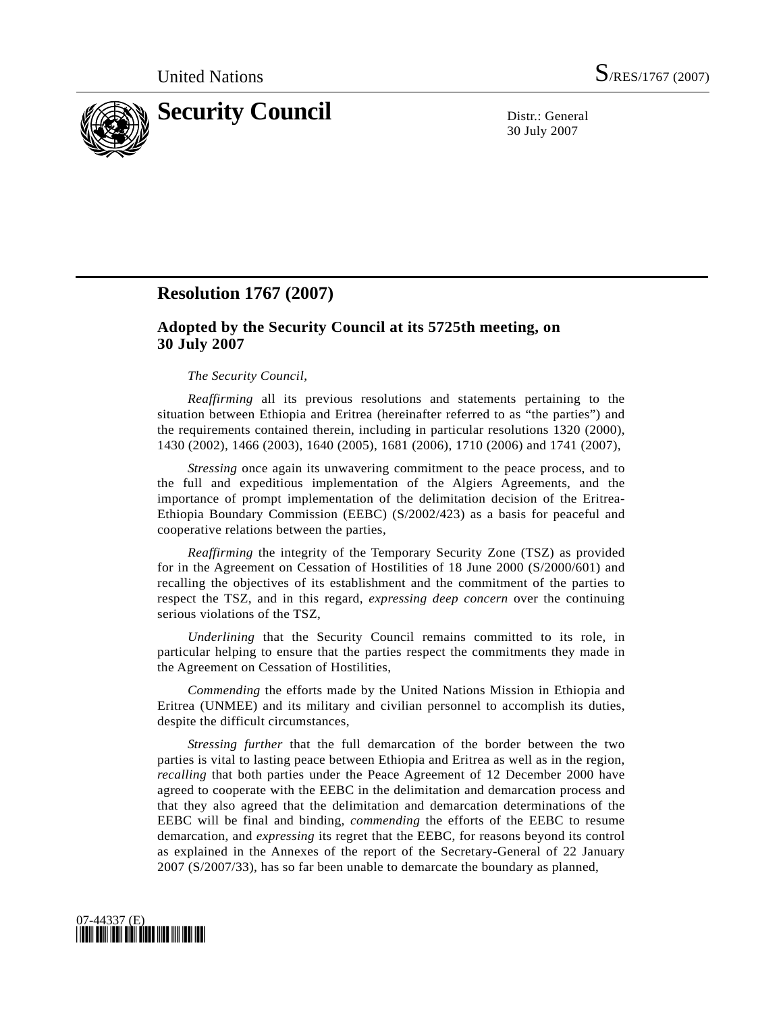

30 July 2007

## **Resolution 1767 (2007)**

## **Adopted by the Security Council at its 5725th meeting, on 30 July 2007**

## *The Security Council*,

*Reaffirming* all its previous resolutions and statements pertaining to the situation between Ethiopia and Eritrea (hereinafter referred to as "the parties") and the requirements contained therein, including in particular resolutions 1320 (2000), 1430 (2002), 1466 (2003), 1640 (2005), 1681 (2006), 1710 (2006) and 1741 (2007),

*Stressing* once again its unwavering commitment to the peace process, and to the full and expeditious implementation of the Algiers Agreements, and the importance of prompt implementation of the delimitation decision of the Eritrea-Ethiopia Boundary Commission (EEBC) (S/2002/423) as a basis for peaceful and cooperative relations between the parties,

*Reaffirming* the integrity of the Temporary Security Zone (TSZ) as provided for in the Agreement on Cessation of Hostilities of 18 June 2000 (S/2000/601) and recalling the objectives of its establishment and the commitment of the parties to respect the TSZ, and in this regard, *expressing deep concern* over the continuing serious violations of the TSZ,

*Underlining* that the Security Council remains committed to its role, in particular helping to ensure that the parties respect the commitments they made in the Agreement on Cessation of Hostilities,

*Commending* the efforts made by the United Nations Mission in Ethiopia and Eritrea (UNMEE) and its military and civilian personnel to accomplish its duties, despite the difficult circumstances,

*Stressing further* that the full demarcation of the border between the two parties is vital to lasting peace between Ethiopia and Eritrea as well as in the region, *recalling* that both parties under the Peace Agreement of 12 December 2000 have agreed to cooperate with the EEBC in the delimitation and demarcation process and that they also agreed that the delimitation and demarcation determinations of the EEBC will be final and binding, *commending* the efforts of the EEBC to resume demarcation, and *expressing* its regret that the EEBC, for reasons beyond its control as explained in the Annexes of the report of the Secretary-General of 22 January 2007 (S/2007/33), has so far been unable to demarcate the boundary as planned,

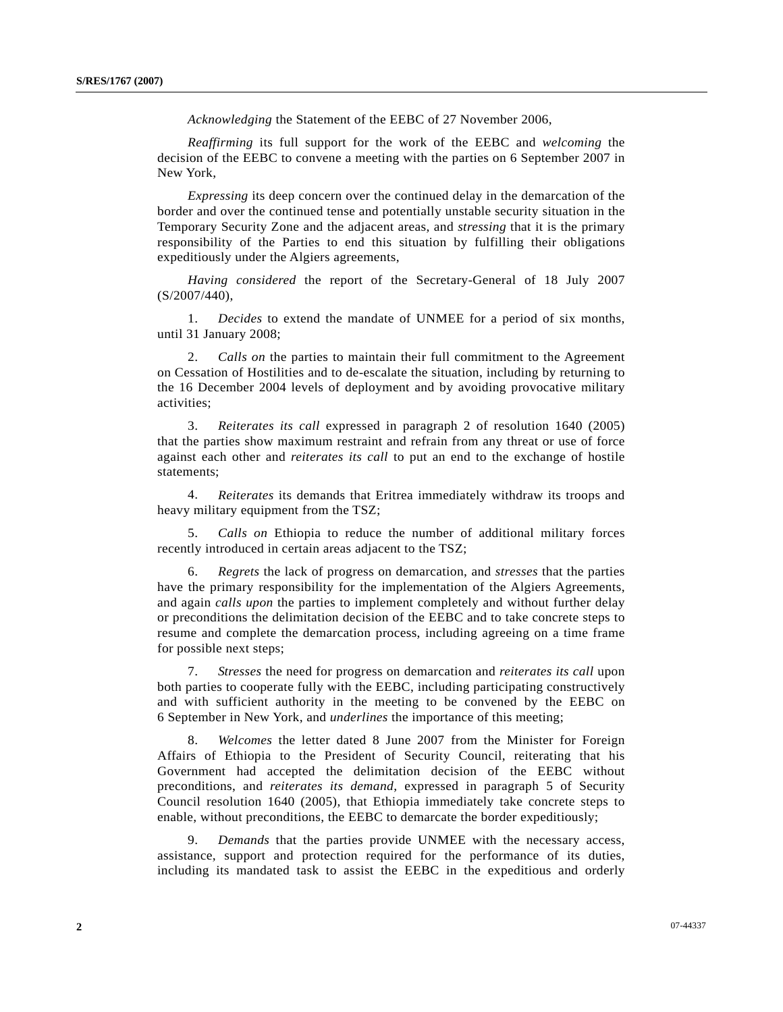*Acknowledging* the Statement of the EEBC of 27 November 2006,

*Reaffirming* its full support for the work of the EEBC and *welcoming* the decision of the EEBC to convene a meeting with the parties on 6 September 2007 in New York,

*Expressing* its deep concern over the continued delay in the demarcation of the border and over the continued tense and potentially unstable security situation in the Temporary Security Zone and the adjacent areas, and *stressing* that it is the primary responsibility of the Parties to end this situation by fulfilling their obligations expeditiously under the Algiers agreements,

*Having considered* the report of the Secretary-General of 18 July 2007 (S/2007/440),

 1. *Decides* to extend the mandate of UNMEE for a period of six months, until 31 January 2008;

 2. *Calls on* the parties to maintain their full commitment to the Agreement on Cessation of Hostilities and to de-escalate the situation, including by returning to the 16 December 2004 levels of deployment and by avoiding provocative military activities;

 3. *Reiterates its call* expressed in paragraph 2 of resolution 1640 (2005) that the parties show maximum restraint and refrain from any threat or use of force against each other and *reiterates its call* to put an end to the exchange of hostile statements;

 4. *Reiterates* its demands that Eritrea immediately withdraw its troops and heavy military equipment from the TSZ;

 5. *Calls on* Ethiopia to reduce the number of additional military forces recently introduced in certain areas adjacent to the TSZ;

 6. *Regrets* the lack of progress on demarcation, and *stresses* that the parties have the primary responsibility for the implementation of the Algiers Agreements, and again *calls upon* the parties to implement completely and without further delay or preconditions the delimitation decision of the EEBC and to take concrete steps to resume and complete the demarcation process, including agreeing on a time frame for possible next steps;

*Stresses* the need for progress on demarcation and *reiterates its call* upon both parties to cooperate fully with the EEBC, including participating constructively and with sufficient authority in the meeting to be convened by the EEBC on 6 September in New York, and *underlines* the importance of this meeting;

 8. *Welcomes* the letter dated 8 June 2007 from the Minister for Foreign Affairs of Ethiopia to the President of Security Council, reiterating that his Government had accepted the delimitation decision of the EEBC without preconditions, and *reiterates its demand*, expressed in paragraph 5 of Security Council resolution 1640 (2005), that Ethiopia immediately take concrete steps to enable, without preconditions, the EEBC to demarcate the border expeditiously;

 9. *Demands* that the parties provide UNMEE with the necessary access, assistance, support and protection required for the performance of its duties, including its mandated task to assist the EEBC in the expeditious and orderly